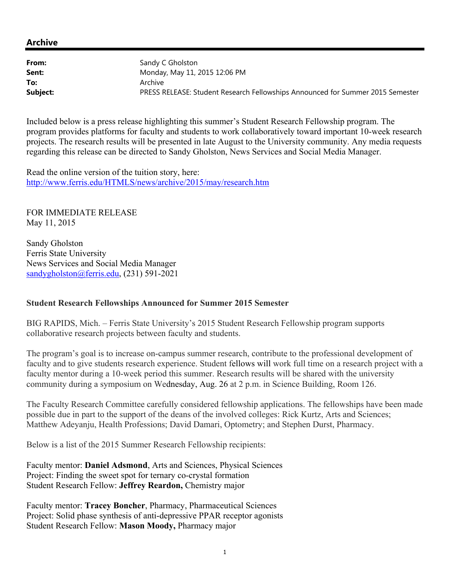## **Archive**

| From:    | Sandy C Gholston                                                               |
|----------|--------------------------------------------------------------------------------|
| Sent:    | Monday, May 11, 2015 12:06 PM                                                  |
| To:      | Archive                                                                        |
| Subject: | PRESS RELEASE: Student Research Fellowships Announced for Summer 2015 Semester |

Included below is a press release highlighting this summer's Student Research Fellowship program. The program provides platforms for faculty and students to work collaboratively toward important 10-week research projects. The research results will be presented in late August to the University community. Any media requests regarding this release can be directed to Sandy Gholston, News Services and Social Media Manager.

Read the online version of the tuition story, here: http://www.ferris.edu/HTMLS/news/archive/2015/may/research.htm

FOR IMMEDIATE RELEASE May 11, 2015

Sandy Gholston Ferris State University News Services and Social Media Manager sandygholston@ferris.edu, (231) 591-2021

## **Student Research Fellowships Announced for Summer 2015 Semester**

BIG RAPIDS, Mich. – Ferris State University's 2015 Student Research Fellowship program supports collaborative research projects between faculty and students.

The program's goal is to increase on-campus summer research, contribute to the professional development of faculty and to give students research experience. Student fellows will work full time on a research project with a faculty mentor during a 10-week period this summer. Research results will be shared with the university community during a symposium on Wednesday, Aug. 26 at 2 p.m. in Science Building, Room 126.

The Faculty Research Committee carefully considered fellowship applications. The fellowships have been made possible due in part to the support of the deans of the involved colleges: Rick Kurtz, Arts and Sciences; Matthew Adeyanju, Health Professions; David Damari, Optometry; and Stephen Durst, Pharmacy.

Below is a list of the 2015 Summer Research Fellowship recipients:

Faculty mentor: **Daniel Adsmond**, Arts and Sciences, Physical Sciences Project: Finding the sweet spot for ternary co-crystal formation Student Research Fellow: **Jeffrey Reardon,** Chemistry major

Faculty mentor: **Tracey Boncher**, Pharmacy, Pharmaceutical Sciences Project: Solid phase synthesis of anti-depressive PPAR receptor agonists Student Research Fellow: **Mason Moody,** Pharmacy major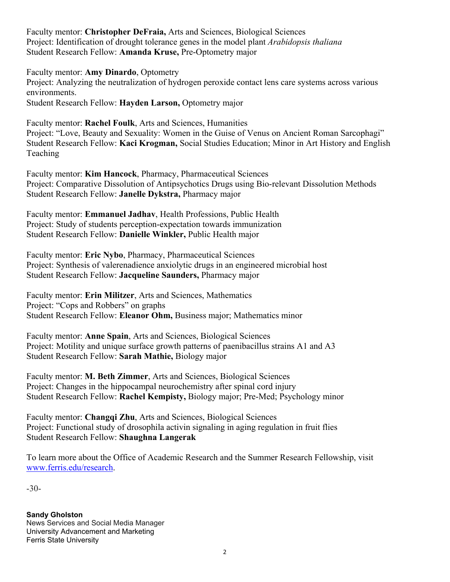Faculty mentor: **Christopher DeFraia,** Arts and Sciences, Biological Sciences Project: Identification of drought tolerance genes in the model plant *Arabidopsis thaliana* Student Research Fellow: **Amanda Kruse,** Pre-Optometry major

Faculty mentor: **Amy Dinardo**, Optometry Project: Analyzing the neutralization of hydrogen peroxide contact lens care systems across various environments. Student Research Fellow: **Hayden Larson,** Optometry major

Faculty mentor: **Rachel Foulk**, Arts and Sciences, Humanities Project: "Love, Beauty and Sexuality: Women in the Guise of Venus on Ancient Roman Sarcophagi" Student Research Fellow: **Kaci Krogman,** Social Studies Education; Minor in Art History and English **Teaching** 

Faculty mentor: **Kim Hancock**, Pharmacy, Pharmaceutical Sciences Project: Comparative Dissolution of Antipsychotics Drugs using Bio-relevant Dissolution Methods Student Research Fellow: **Janelle Dykstra,** Pharmacy major

Faculty mentor: **Emmanuel Jadhav**, Health Professions, Public Health Project: Study of students perception-expectation towards immunization Student Research Fellow: **Danielle Winkler,** Public Health major

Faculty mentor: **Eric Nybo**, Pharmacy, Pharmaceutical Sciences Project: Synthesis of valerenadience anxiolytic drugs in an engineered microbial host Student Research Fellow: **Jacqueline Saunders,** Pharmacy major

Faculty mentor: **Erin Militzer**, Arts and Sciences, Mathematics Project: "Cops and Robbers" on graphs Student Research Fellow: **Eleanor Ohm,** Business major; Mathematics minor

Faculty mentor: **Anne Spain**, Arts and Sciences, Biological Sciences Project: Motility and unique surface growth patterns of paenibacillus strains A1 and A3 Student Research Fellow: **Sarah Mathie,** Biology major

Faculty mentor: **M. Beth Zimmer**, Arts and Sciences, Biological Sciences Project: Changes in the hippocampal neurochemistry after spinal cord injury Student Research Fellow: **Rachel Kempisty,** Biology major; Pre-Med; Psychology minor

Faculty mentor: **Changqi Zhu**, Arts and Sciences, Biological Sciences Project: Functional study of drosophila activin signaling in aging regulation in fruit flies Student Research Fellow: **Shaughna Langerak**

To learn more about the Office of Academic Research and the Summer Research Fellowship, visit www.ferris.edu/research.

-30-

## **Sandy Gholston**

News Services and Social Media Manager University Advancement and Marketing Ferris State University